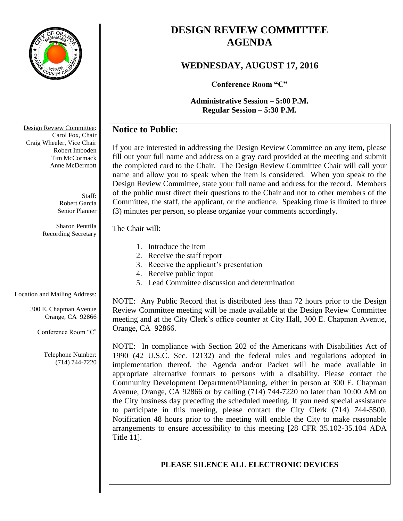

# **DESIGN REVIEW COMMITTEE AGENDA**

# **WEDNESDAY, AUGUST 17, 2016**

**Conference Room "C"**

**Administrative Session – 5:00 P.M. Regular Session – 5:30 P.M.**

# **Notice to Public:**

If you are interested in addressing the Design Review Committee on any item, please fill out your full name and address on a gray card provided at the meeting and submit the completed card to the Chair. The Design Review Committee Chair will call your name and allow you to speak when the item is considered. When you speak to the Design Review Committee, state your full name and address for the record. Members of the public must direct their questions to the Chair and not to other members of the Committee, the staff, the applicant, or the audience. Speaking time is limited to three (3) minutes per person, so please organize your comments accordingly.

#### The Chair will:

- 1. Introduce the item
- 2. Receive the staff report
- 3. Receive the applicant's presentation
- 4. Receive public input
- 5. Lead Committee discussion and determination

### Location and Mailing Address:

300 E. Chapman Avenue Orange, CA 92866

Conference Room "C"

Telephone Number: (714) 744-7220

NOTE: Any Public Record that is distributed less than 72 hours prior to the Design Review Committee meeting will be made available at the Design Review Committee meeting and at the City Clerk's office counter at City Hall, 300 E. Chapman Avenue, Orange, CA 92866.

NOTE: In compliance with Section 202 of the Americans with Disabilities Act of 1990 (42 U.S.C. Sec. 12132) and the federal rules and regulations adopted in implementation thereof, the Agenda and/or Packet will be made available in appropriate alternative formats to persons with a disability. Please contact the Community Development Department/Planning, either in person at 300 E. Chapman Avenue, Orange, CA 92866 or by calling (714) 744-7220 no later than 10:00 AM on the City business day preceding the scheduled meeting. If you need special assistance to participate in this meeting, please contact the City Clerk (714) 744-5500. Notification 48 hours prior to the meeting will enable the City to make reasonable arrangements to ensure accessibility to this meeting [28 CFR 35.102-35.104 ADA Title 11].

### **PLEASE SILENCE ALL ELECTRONIC DEVICES**

Design Review Committee: Carol Fox, Chair Craig Wheeler, Vice Chair Robert Imboden Tim McCormack Anne McDermott

> Staff: Robert Garcia Senior Planner

Sharon Penttila Recording Secretary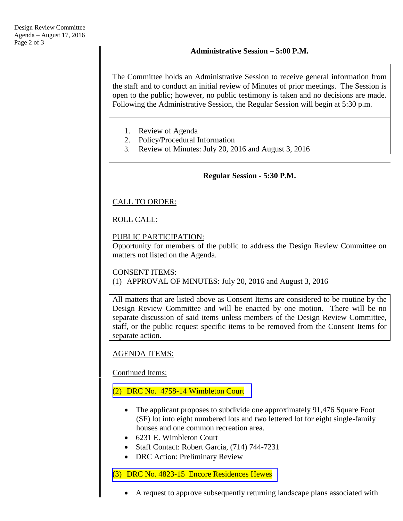The Committee holds an Administrative Session to receive general information from the staff and to conduct an initial review of Minutes of prior meetings. The Session is open to the public; however, no public testimony is taken and no decisions are made. Following the Administrative Session, the Regular Session will begin at 5:30 p.m.

- 1. Review of Agenda
- 2. Policy/Procedural Information
- 3. Review of Minutes: July 20, 2016 and August 3, 2016

#### **Regular Session - 5:30 P.M.**

### CALL TO ORDER:

#### ROLL CALL:

### PUBLIC PARTICIPATION:

Opportunity for members of the public to address the Design Review Committee on matters not listed on the Agenda.

#### CONSENT ITEMS:

(1) APPROVAL OF MINUTES: July 20, 2016 and August 3, 2016

All matters that are listed above as Consent Items are considered to be routine by the Design Review Committee and will be enacted by one motion. There will be no separate discussion of said items unless members of the Design Review Committee, staff, or the public request specific items to be removed from the Consent Items for separate action.

#### AGENDA ITEMS:

Continued Items:

### (2) [DRC No. 4758-14 Wimbleton Court](http://www.cityoforange.org/civicax/filebank/blobdload.aspx?BlobID=18203)

- The applicant proposes to subdivide one approximately 91,476 Square Foot (SF) lot into eight numbered lots and two lettered lot for eight single-family houses and one common recreation area.
- 6231 E. Wimbleton Court
- Staff Contact: Robert Garcia, (714) 744-7231
- DRC Action: Preliminary Review

#### (3) [DRC No. 4823-15 Encore Residences Hewes](http://www.cityoforange.org/civicax/filebank/blobdload.aspx?BlobID=18204)

A request to approve subsequently returning landscape plans associated with